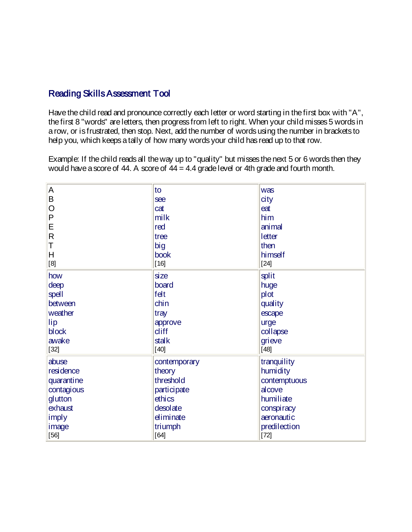## Reading Skills Assessment Tool

Have the child read and pronounce correctly each letter or word starting in the first box with "A", the first 8 "words" are letters, then progress from left to right. When your child misses 5 words in a row, or is frustrated, then stop. Next, add the number of words using the number in brackets to help you, which keeps a tally of how many words your child has read up to that row.

Example: If the child reads all the way up to "quality" but misses the next 5 or 6 words then they would have a score of  $44$ . A score of  $44 = 4.4$  grade level or 4th grade and fourth month.

| $\overline{A}$ | to           | was          |
|----------------|--------------|--------------|
| B              | see          | city         |
|                |              |              |
| $\overline{O}$ | cat          | eat          |
| $\mathsf{P}$   | milk         | him          |
| E              | red          | animal       |
| $\mathsf{R}$   | tree         | letter       |
| Τ              | big          | then         |
| H              | book         | himself      |
| [8]            | $[16]$       | $[24]$       |
| how            | <b>size</b>  | split        |
| deep           | board        | huge         |
| spell          | felt         | plot         |
| between        | chin         | quality      |
| weather        | tray         | escape       |
| lip            | approve      | urge         |
| block          | diff         | collapse     |
| awake          | stalk        | grieve       |
| $[32]$         | $[40]$       | $[48]$       |
| abuse          | contemporary | tranquility  |
| residence      | theory       | humidity     |
| quarantine     | threshold    | contemptuous |
| contagious     | participate  | alcove       |
| glutton        | ethics       | humiliate    |
| exhaust        | desolate     | conspiracy   |
| imply          | diminate     | aeronautic   |
| image          | triumph      | predilection |
| $[56]$         | $[64]$       | $[72]$       |
|                |              |              |